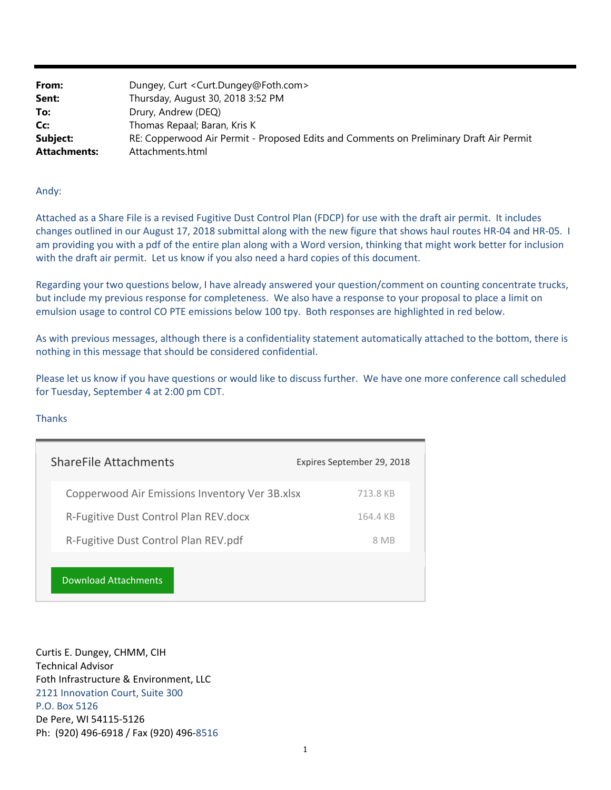| From:               | Dungey, Curt < Curt.Dungey@Foth.com>                                                    |
|---------------------|-----------------------------------------------------------------------------------------|
| Sent:               | Thursday, August 30, 2018 3:52 PM                                                       |
| To:                 | Drury, Andrew (DEQ)                                                                     |
| Cc:                 | Thomas Repaal; Baran, Kris K                                                            |
| Subject:            | RE: Copperwood Air Permit - Proposed Edits and Comments on Preliminary Draft Air Permit |
| <b>Attachments:</b> | Attachments.html                                                                        |

## Andy:

 Attached as a Share File is a revised Fugitive Dust Control Plan (FDCP) for use with the draft air permit. It includes changes outlined in our August 17, 2018 submittal along with the new figure that shows haul routes HR‐04 and HR‐05. I am providing you with a pdf of the entire plan along with a Word version, thinking that might work better for inclusion with the draft air permit. Let us know if you also need a hard copies of this document.

 emulsion usage to control CO PTE emissions below 100 tpy. Both responses are highlighted in red below. Regarding your two questions below, I have already answered your question/comment on counting concentrate trucks, but include my previous response for completeness. We also have a response to your proposal to place a limit on

As with previous messages, although there is a confidentiality statement automatically attached to the bottom, there is nothing in this message that should be considered confidential.

Please let us know if you have questions or would like to discuss further. We have one more conference call scheduled for Tuesday, September 4 at 2:00 pm CDT.

## **Thanks**

| <b>ShareFile Attachments</b>                   | Expires September 29, 2018 |
|------------------------------------------------|----------------------------|
| Copperwood Air Emissions Inventory Ver 3B.xlsx | 713.8 KB                   |
| R-Fugitive Dust Control Plan REV.docx          | 164.4 KB                   |
| R-Fugitive Dust Control Plan REV.pdf           | 8 MB                       |
| Download Attachments                           |                            |

Curtis E. Dungey, CHMM, CIH Technical Advisor Foth Infrastructure & Environment, LLC 2121 Innovation Court, Suite 300 P.O. Box 5126 De Pere, WI 54115‐5126 Ph: (920) 496‐6918 / Fax (920) 496‐8516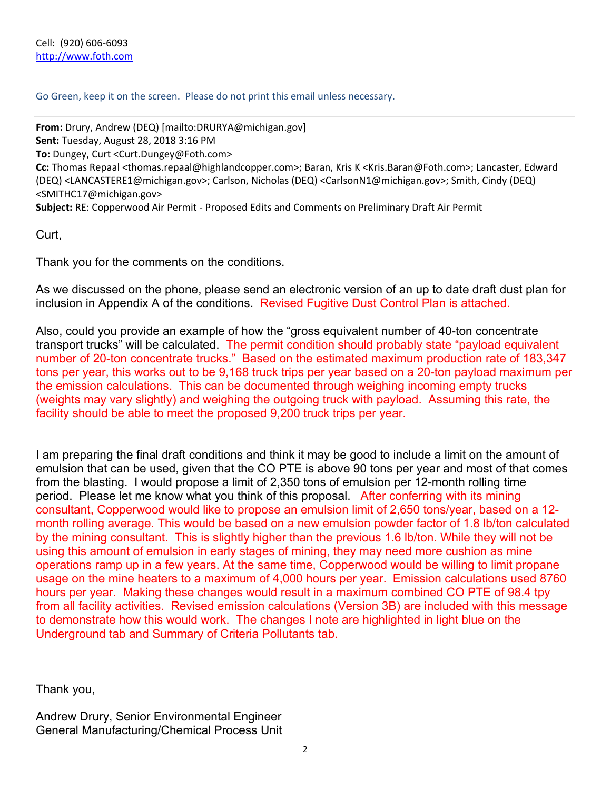Go Green, keep it on the screen. Please do not print this email unless necessary.

 (DEQ) [<LANCASTERE1@michigan.gov>; Ca](mailto:LANCASTERE1@michigan.gov)rlson, Nicholas (DEQ) [<CarlsonN1@michigan.gov>; Sm](mailto:CarlsonN1@michigan.gov)ith, Cindy (DEQ) **From:** Drury, Andrew (DEQ) [\[mailto:DRURYA@michigan.gov\]](mailto:DRURYA@michigan.gov])  **Sent:** Tuesday, August 28, 2018 3:16 PM **To:** Dungey, Curt [<Curt.Dungey@Foth.com>](mailto:Curt.Dungey@Foth.com) **Cc:** Thomas Repaal <[thomas.repaal@highlandcopper.com>;](mailto:thomas.repaal@highlandcopper.com) Baran, Kris K [<Kris.Baran@Foth.com>; La](mailto:Kris.Baran@Foth.com)ncaster, Edward [<SMITHC17@michigan.gov>](mailto:SMITHC17@michigan.gov)  **Subject:** RE: Copperwood Air Permit ‐ Proposed Edits and Comments on Preliminary Draft Air Permit

Curt,

Thank you for the comments on the conditions.

 inclusion in Appendix A of the conditions. Revised Fugitive Dust Control Plan is attached. As we discussed on the phone, please send an electronic version of an up to date draft dust plan for

transport trucks" will be calculated. The permit condition should probably state "payload equivalent Also, could you provide an example of how the "gross equivalent number of 40-ton concentrate number of 20-ton concentrate trucks." Based on the estimated maximum production rate of 183,347 tons per year, this works out to be 9,168 truck trips per year based on a 20-ton payload maximum per the emission calculations. This can be documented through weighing incoming empty trucks (weights may vary slightly) and weighing the outgoing truck with payload. Assuming this rate, the facility should be able to meet the proposed 9,200 truck trips per year.

period. Please let me know what you think of this proposal. After conferring with its mining I am preparing the final draft conditions and think it may be good to include a limit on the amount of emulsion that can be used, given that the CO PTE is above 90 tons per year and most of that comes from the blasting. I would propose a limit of 2,350 tons of emulsion per 12-month rolling time consultant, Copperwood would like to propose an emulsion limit of 2,650 tons/year, based on a 12 month rolling average. This would be based on a new emulsion powder factor of 1.8 lb/ton calculated by the mining consultant. This is slightly higher than the previous 1.6 lb/ton. While they will not be using this amount of emulsion in early stages of mining, they may need more cushion as mine operations ramp up in a few years. At the same time, Copperwood would be willing to limit propane usage on the mine heaters to a maximum of 4,000 hours per year. Emission calculations used 8760 hours per year. Making these changes would result in a maximum combined CO PTE of 98.4 tpy from all facility activities. Revised emission calculations (Version 3B) are included with this message to demonstrate how this would work. The changes I note are highlighted in light blue on the Underground tab and Summary of Criteria Pollutants tab.

Thank you,

Andrew Drury, Senior Environmental Engineer General Manufacturing/Chemical Process Unit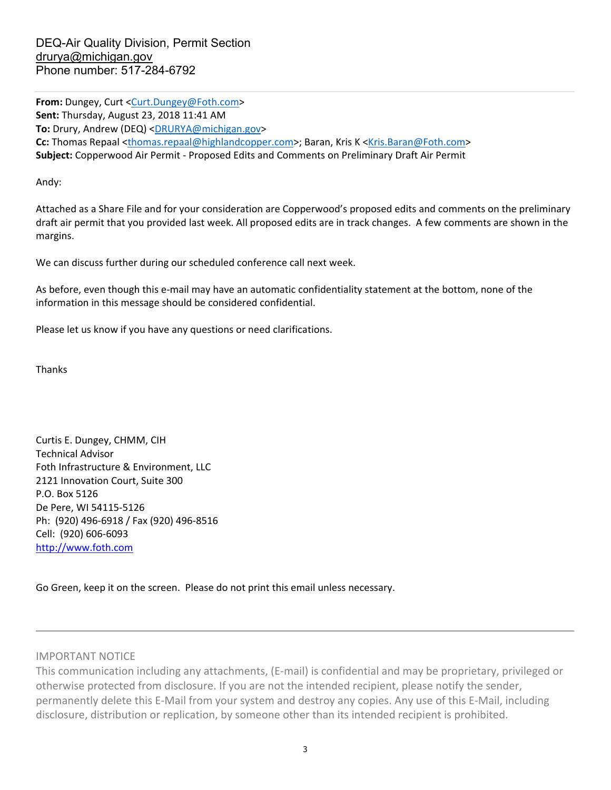**From:** Dungey, Curt <[Curt.Dungey@Foth.com>](mailto:Curt.Dungey@Foth.com)  **Sent:** Thursday, August 23, 2018 11:41 AM **To:** Drury, Andrew (DEQ) <DRURYA@michigan.gov> **Cc:** Thomas Repaal <[thomas.repaal@highlandcopper.com>; Ba](mailto:thomas.repaal@highlandcopper.com)ran, Kris K [<Kris.Baran@Foth.com>](mailto:Kris.Baran@Foth.com)  **Subject:** Copperwood Air Permit ‐ Proposed Edits and Comments on Preliminary Draft Air Permit

Andy:

 draft air permit that you provided last week. All proposed edits are in track changes. A few comments are shown in the Attached as a Share File and for your consideration are Copperwood's proposed edits and comments on the preliminary margins.

We can discuss further during our scheduled conference call next week.

 As before, even though this e‐mail may have an automatic confidentiality statement at the bottom, none of the information in this message should be considered confidential.

Please let us know if you have any questions or need clarifications.

Thanks

Curtis E. Dungey, CHMM, CIH Technical Advisor Foth Infrastructure & Environment, LLC 2121 Innovation Court, Suite 300 P.O. Box 5126 De Pere, WI 54115‐5126 Ph: (920) 496‐6918 / Fax (920) 496‐8516 Cell: (920) 606‐6093 <http://www.foth.com>

Go Green, keep it on the screen. Please do not print this email unless necessary.

IMPORTANT NOTICE

This communication including any attachments, (E‐mail) is confidential and may be proprietary, privileged or otherwise protected from disclosure. If you are not the intended recipient, please notify the sender, permanently delete this E‐Mail from your system and destroy any copies. Any use of this E‐Mail, including disclosure, distribution or replication, by someone other than its intended recipient is prohibited.